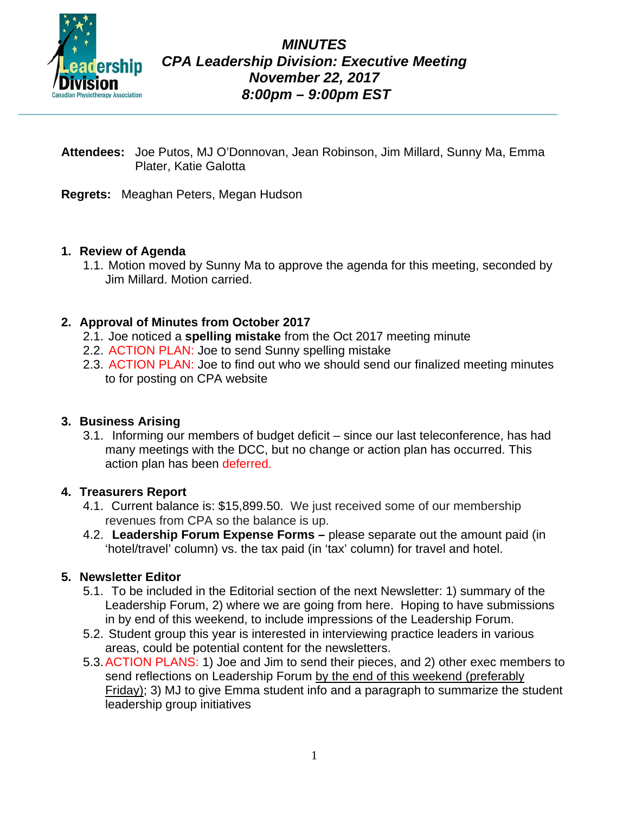

- **Attendees:** Joe Putos, MJ O'Donnovan, Jean Robinson, Jim Millard, Sunny Ma, Emma Plater, Katie Galotta
- **Regrets:** Meaghan Peters, Megan Hudson

# **1. Review of Agenda**

1.1. Motion moved by Sunny Ma to approve the agenda for this meeting, seconded by Jim Millard. Motion carried.

#### **2. Approval of Minutes from October 2017**

- 2.1. Joe noticed a **spelling mistake** from the Oct 2017 meeting minute
- 2.2. ACTION PLAN: Joe to send Sunny spelling mistake
- 2.3. ACTION PLAN: Joe to find out who we should send our finalized meeting minutes to for posting on CPA website

#### **3. Business Arising**

3.1. Informing our members of budget deficit – since our last teleconference, has had many meetings with the DCC, but no change or action plan has occurred. This action plan has been deferred.

#### **4. Treasurers Report**

- 4.1. Current balance is: \$15,899.50. We just received some of our membership revenues from CPA so the balance is up.
- 4.2. **Leadership Forum Expense Forms –** please separate out the amount paid (in 'hotel/travel' column) vs. the tax paid (in 'tax' column) for travel and hotel.

# **5. Newsletter Editor**

- 5.1. To be included in the Editorial section of the next Newsletter: 1) summary of the Leadership Forum, 2) where we are going from here. Hoping to have submissions in by end of this weekend, to include impressions of the Leadership Forum.
- 5.2. Student group this year is interested in interviewing practice leaders in various areas, could be potential content for the newsletters.
- 5.3.ACTION PLANS: 1) Joe and Jim to send their pieces, and 2) other exec members to send reflections on Leadership Forum by the end of this weekend (preferably Friday); 3) MJ to give Emma student info and a paragraph to summarize the student leadership group initiatives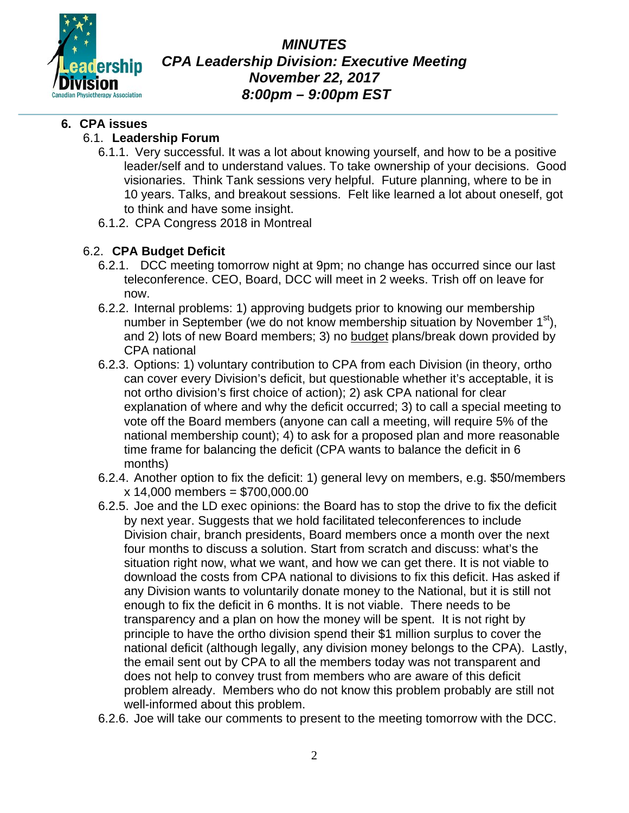

*MINUTES CPA Leadership Division: Executive Meeting November 22, 2017 8:00pm – 9:00pm EST*

#### **6. CPA issues**

#### 6.1. **Leadership Forum**

- 6.1.1. Very successful. It was a lot about knowing yourself, and how to be a positive leader/self and to understand values. To take ownership of your decisions. Good visionaries. Think Tank sessions very helpful. Future planning, where to be in 10 years. Talks, and breakout sessions. Felt like learned a lot about oneself, got to think and have some insight.
- 6.1.2. CPA Congress 2018 in Montreal

# 6.2. **CPA Budget Deficit**

- 6.2.1. DCC meeting tomorrow night at 9pm; no change has occurred since our last teleconference. CEO, Board, DCC will meet in 2 weeks. Trish off on leave for now.
- 6.2.2. Internal problems: 1) approving budgets prior to knowing our membership number in September (we do not know membership situation by November  $1<sup>st</sup>$ ), and 2) lots of new Board members; 3) no budget plans/break down provided by CPA national
- 6.2.3. Options: 1) voluntary contribution to CPA from each Division (in theory, ortho can cover every Division's deficit, but questionable whether it's acceptable, it is not ortho division's first choice of action); 2) ask CPA national for clear explanation of where and why the deficit occurred; 3) to call a special meeting to vote off the Board members (anyone can call a meeting, will require 5% of the national membership count); 4) to ask for a proposed plan and more reasonable time frame for balancing the deficit (CPA wants to balance the deficit in 6 months)
- 6.2.4. Another option to fix the deficit: 1) general levy on members, e.g. \$50/members x 14,000 members = \$700,000.00
- 6.2.5. Joe and the LD exec opinions: the Board has to stop the drive to fix the deficit by next year. Suggests that we hold facilitated teleconferences to include Division chair, branch presidents, Board members once a month over the next four months to discuss a solution. Start from scratch and discuss: what's the situation right now, what we want, and how we can get there. It is not viable to download the costs from CPA national to divisions to fix this deficit. Has asked if any Division wants to voluntarily donate money to the National, but it is still not enough to fix the deficit in 6 months. It is not viable. There needs to be transparency and a plan on how the money will be spent. It is not right by principle to have the ortho division spend their \$1 million surplus to cover the national deficit (although legally, any division money belongs to the CPA). Lastly, the email sent out by CPA to all the members today was not transparent and does not help to convey trust from members who are aware of this deficit problem already. Members who do not know this problem probably are still not well-informed about this problem.
- 6.2.6. Joe will take our comments to present to the meeting tomorrow with the DCC.